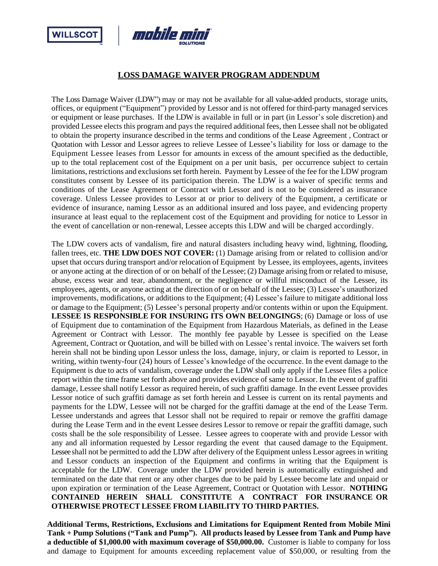



## **LOSS DAMAGE WAIVER PROGRAM ADDENDUM**

The Loss Damage Waiver (LDW") may or may not be available for all value-added products, storage units, offices, or equipment ("Equipment") provided by Lessor and is not offered for third-party managed services or equipment or lease purchases. If the LDW is available in full or in part (in Lessor's sole discretion) and provided Lessee elects this program and pays the required additional fees, then Lessee shall not be obligated to obtain the property insurance described in the terms and conditions of the Lease Agreement , Contract or Quotation with Lessor and Lessor agrees to relieve Lessee of Lessee's liability for loss or damage to the Equipment Lessee leases from Lessor for amounts in excess of the amount specified as the deductible, up to the total replacement cost of the Equipment on a per unit basis, per occurrence subject to certain limitations, restrictions and exclusions set forth herein. Payment by Lessee of the fee for the LDW program constitutes consent by Lessee of its participation therein. The LDW is a waiver of specific terms and conditions of the Lease Agreement or Contract with Lessor and is not to be considered as insurance coverage. Unless Lessee provides to Lessor at or prior to delivery of the Equipment, a certificate or evidence of insurance, naming Lessor as an additional insured and loss payee, and evidencing property insurance at least equal to the replacement cost of the Equipment and providing for notice to Lessor in the event of cancellation or non-renewal, Lessee accepts this LDW and will be charged accordingly.

The LDW covers acts of vandalism, fire and natural disasters including heavy wind, lightning, flooding, fallen trees, etc. **THE LDW DOES NOT COVER:** (1) Damage arising from or related to collision and/or upset that occurs during transport and/or relocation of Equipment by Lessee, its employees, agents, invitees or anyone acting at the direction of or on behalf of the Lessee; (2) Damage arising from or related to misuse, abuse, excess wear and tear, abandonment, or the negligence or willful misconduct of the Lessee, its employees, agents, or anyone acting at the direction of or on behalf of the Lessee; (3) Lessee's unauthorized improvements, modifications, or additions to the Equipment; (4) Lessee's failure to mitigate additional loss or damage to the Equipment; (5) Lessee's personal property and/or contents within or upon the Equipment. **LESSEE IS RESPONSIBLE FOR INSURING ITS OWN BELONGINGS**; (6) Damage or loss of use of Equipment due to contamination of the Equipment from Hazardous Materials, as defined in the Lease Agreement or Contract with Lessor. The monthly fee payable by Lessee is specified on the Lease Agreement, Contract or Quotation, and will be billed with on Lessee's rental invoice. The waivers set forth herein shall not be binding upon Lessor unless the loss, damage, injury, or claim is reported to Lessor, in writing, within twenty-four (24) hours of Lessee's knowledge of the occurrence. In the event damage to the Equipment is due to acts of vandalism, coverage under the LDW shall only apply if the Lessee files a police report within the time frame set forth above and provides evidence of same to Lessor. In the event of graffiti damage, Lessee shall notify Lessor as required herein, of such graffiti damage. In the event Lessee provides Lessor notice of such graffiti damage as set forth herein and Lessee is current on its rental payments and payments for the LDW, Lessee will not be charged for the graffiti damage at the end of the Lease Term. Lessee understands and agrees that Lessor shall not be required to repair or remove the graffiti damage during the Lease Term and in the event Lessee desires Lessor to remove or repair the graffiti damage, such costs shall be the sole responsibility of Lessee. Lessee agrees to cooperate with and provide Lessor with any and all information requested by Lessor regarding the event that caused damage to the Equipment. Lessee shall not be permitted to add the LDW after delivery of the Equipment unless Lessor agrees in writing and Lessor conducts an inspection of the Equipment and confirms in writing that the Equipment is acceptable for the LDW. Coverage under the LDW provided herein is automatically extinguished and terminated on the date that rent or any other charges due to be paid by Lessee become late and unpaid or upon expiration or termination of the Lease Agreement, Contract or Quotation with Lessor. **NOTHING CONTAINED HEREIN SHALL CONSTITUTE A CONTRACT FOR INSURANCE OR OTHERWISE PROTECT LESSEE FROM LIABILITY TO THIRD PARTIES.**

**Additional Terms, Restrictions, Exclusions and Limitations for Equipment Rented from Mobile Mini Tank + Pump Solutions ("Tank and Pump"). All products leased by Lessee from Tank and Pump have a deductible of \$1,000.00 with maximum coverage of \$50,000.00.** Customer is liable to company for loss and damage to Equipment for amounts exceeding replacement value of \$50,000, or resulting from the